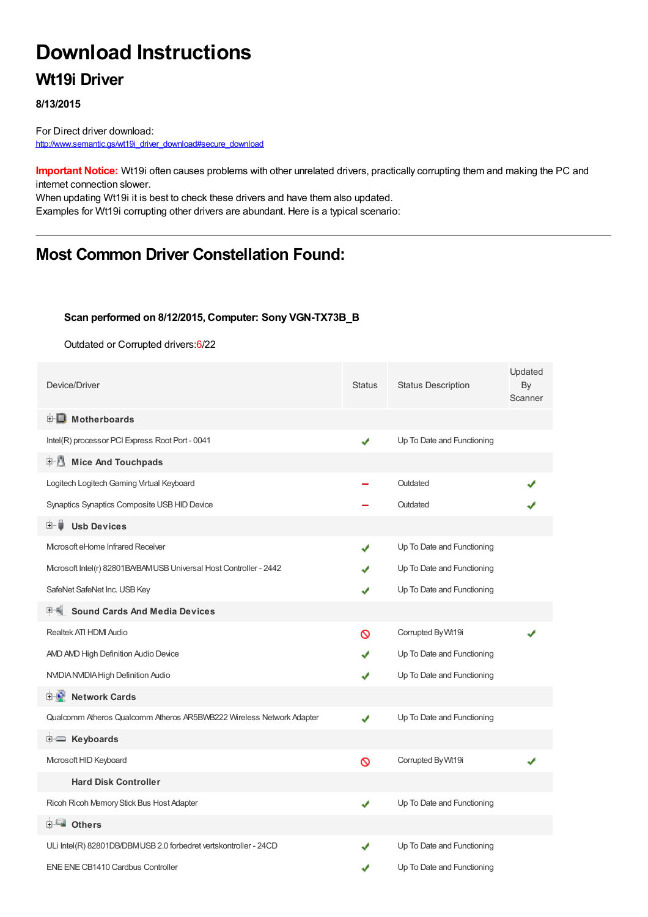# **Download Instructions**

### **Wt19i Driver**

#### **8/13/2015**

For Direct driver download: [http://www.semantic.gs/wt19i\\_driver\\_download#secure\\_download](http://www.semantic.gs/wt19i_driver_download#secure_download)

**Important Notice:** Wt19i often causes problems with other unrelated drivers, practically corrupting them and making the PC and internet connection slower.

When updating Wt19i it is best to check these drivers and have them also updated. Examples for Wt19i corrupting other drivers are abundant. Here is a typical scenario:

# **Most Common Driver Constellation Found:**

#### **Scan performed on 8/12/2015, Computer: Sony VGN-TX73B\_B**

Outdated or Corrupted drivers:6/22

| Device/Driver                                                        | <b>Status</b> | <b>Status Description</b>  | Updated<br>By<br>Scanner |
|----------------------------------------------------------------------|---------------|----------------------------|--------------------------|
| <b>E</b> Motherboards                                                |               |                            |                          |
| Intel(R) processor PCI Express Root Port - 0041                      | ✔             | Up To Date and Functioning |                          |
| 中心 Mice And Touchpads                                                |               |                            |                          |
| Logitech Logitech Gaming Virtual Keyboard                            |               | Outdated                   |                          |
| Synaptics Synaptics Composite USB HID Device                         |               | Outdated                   |                          |
| <b>Usb Devices</b><br>田一首                                            |               |                            |                          |
| Microsoft eHome Infrared Receiver                                    | J             | Up To Date and Functioning |                          |
| Microsoft Intel(r) 82801BA/BAM USB Universal Host Controller - 2442  |               | Up To Date and Functioning |                          |
| SafeNet SafeNet Inc. USB Key                                         |               | Up To Date and Functioning |                          |
| <b>Sound Cards And Media Devices</b>                                 |               |                            |                          |
| Realtek ATI HDM Audio                                                | ଷ             | Corrupted By Wt19i         |                          |
| AND AND High Definition Audio Device                                 |               | Up To Date and Functioning |                          |
| NVIDIA NVIDIA High Definition Audio                                  | ✔             | Up To Date and Functioning |                          |
| 中心 Network Cards                                                     |               |                            |                          |
| Qualcomm Atheros Qualcomm Atheros AR5BWB222 Wireless Network Adapter | J             | Up To Date and Functioning |                          |
| E Keyboards                                                          |               |                            |                          |
| Microsoft HID Keyboard                                               | Ø             | Corrupted By Wt19i         |                          |
| <b>Hard Disk Controller</b>                                          |               |                            |                          |
| Ricoh Ricoh Memory Stick Bus Host Adapter                            | ✔             | Up To Date and Functioning |                          |
| 白一■ Others                                                           |               |                            |                          |
| ULi Intel(R) 82801DB/DBMUSB 2.0 forbedret vertskontroller - 24CD     |               | Up To Date and Functioning |                          |
| ENE ENE CB1410 Cardbus Controller                                    | J             | Up To Date and Functioning |                          |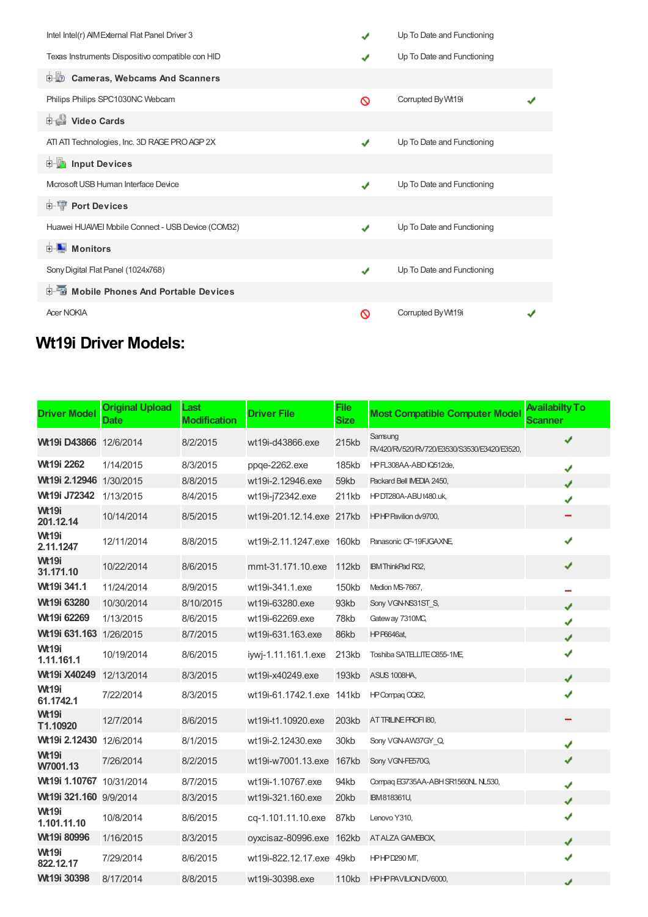| Intel Intel(r) AIM External Flat Panel Driver 3   | J            | Up To Date and Functioning |  |
|---------------------------------------------------|--------------|----------------------------|--|
| Texas Instruments Dispositivo compatible con HID  |              | Up To Date and Functioning |  |
| <b>D</b> Cameras, Webcams And Scanners            |              |                            |  |
| Philips Philips SPC1030NC Webcam                  | ∾            | Corrupted By Wt19i         |  |
| i Video Cards                                     |              |                            |  |
| ATI ATI Technologies, Inc. 3D RAGE PRO AGP 2X     | ✔            | Up To Date and Functioning |  |
| <b>E</b> Input Devices                            |              |                            |  |
| Microsoft USB Human Interface Device              | ✔            | Up To Date and Functioning |  |
| <b>E-TP</b> Port Devices                          |              |                            |  |
| Huawei HUAWEI Mobile Connect - USB Device (COM32) | $\checkmark$ | Up To Date and Functioning |  |
| <b>E</b> Monitors                                 |              |                            |  |
| Sony Digital Flat Panel (1024x768)                | ✔            | Up To Date and Functioning |  |
| <b>E-</b> Mobile Phones And Portable Devices      |              |                            |  |
| <b>Acer NOKIA</b>                                 | ര            | Corrupted By Wt19i         |  |

# **Wt19i Driver Models:**

| <b>Driver Model</b>           | <b>Original Upload</b><br>Date | Last<br><b>Modification</b> | <b>Driver File</b>        | <b>File</b><br><b>Size</b> | <b>Most Compatible Computer Model</b>                 | <b>Availabilty To</b><br>Scanner |
|-------------------------------|--------------------------------|-----------------------------|---------------------------|----------------------------|-------------------------------------------------------|----------------------------------|
| <b>Wt19i D43866</b> 12/6/2014 |                                | 8/2/2015                    | wt19i-d43866.exe          | 215kb                      | Samsung<br>RV420/RV520/RV720/E3530/S3530/E3420/E3520, | ✔                                |
| Wt19i 2262                    | 1/14/2015                      | 8/3/2015                    | ppge-2262.exe             | 185kb                      | HPFL308AA-ABDIQ512de,                                 | ✔                                |
| Wt19i 2.12946 1/30/2015       |                                | 8/8/2015                    | wt19i-2.12946.exe         | 59kb                       | Packard Bell IMEDIA 2450,                             | J                                |
| Wt19i J72342                  | 1/13/2015                      | 8/4/2015                    | wt19i-j72342.exe          | 211kb                      | HPDT280A-ABUt480.uk,                                  | ✔                                |
| <b>Wt19i</b><br>201.12.14     | 10/14/2014                     | 8/5/2015                    | wt19i-201.12.14.exe 217kb |                            | HPHP Pavilion dv9700,                                 |                                  |
| <b>Wt19i</b><br>2.11.1247     | 12/11/2014                     | 8/8/2015                    | wt19i-2.11.1247.exe 160kb |                            | Panasonic CF-19FJGAXNE                                | ✔                                |
| <b>Wt19i</b><br>31.171.10     | 10/22/2014                     | 8/6/2015                    | mmt-31.171.10.exe         | 112kb                      | <b>IBM ThinkPad R32,</b>                              | ✔                                |
| Wt19i 341.1                   | 11/24/2014                     | 8/9/2015                    | wt19i-341.1.exe           | <b>150kb</b>               | Medion MS-7667,                                       |                                  |
| Wt19i 63280                   | 10/30/2014                     | 8/10/2015                   | wt19i-63280.exe           | 93kb                       | Sony VGN-NS31ST S,                                    | J                                |
| Wt19i 62269                   | 1/13/2015                      | 8/6/2015                    | wt19i-62269.exe           | 78kb                       | Gateway 7310MC,                                       | ✔                                |
| Wt19i 631.163 1/26/2015       |                                | 8/7/2015                    | wt19i-631.163.exe         | 86kb                       | <b>HP P6646at,</b>                                    | J                                |
| <b>Wt19i</b><br>1.11.161.1    | 10/19/2014                     | 8/6/2015                    | iywj-1.11.161.1.exe       | 213kb                      | Toshiba SATELLITE C855-1ME,                           | ✔                                |
| Wt19i X40249                  | 12/13/2014                     | 8/3/2015                    | wt19i-x40249.exe          | 193kb                      | ASUS 1008HA,                                          | J                                |
| <b>Wt19i</b><br>61.1742.1     | 7/22/2014                      | 8/3/2015                    | wt19i-61.1742.1.exe 141kb |                            | HP Compag CQ62,                                       | ✔                                |
| <b>Wt19i</b><br>T1.10920      | 12/7/2014                      | 8/6/2015                    | wt19i-t1.10920.exe        | 203kb                      | AT TRILINE PROFI 180,                                 |                                  |
| Wt19i 2.12430 12/6/2014       |                                | 8/1/2015                    | wt19i-2.12430.exe         | 30kb                       | Sony VGN-AW37GY Q                                     | ✔                                |
| <b>Wt19i</b><br>W7001.13      | 7/26/2014                      | 8/2/2015                    | wt19i-w7001.13.exe        | 167kb                      | Sony VGN-FE570G,                                      | ✔                                |
| Wt19i 1.10767 10/31/2014      |                                | 8/7/2015                    | wt19i-1.10767.exe         | 94kb                       | Compaq EG735AA-ABH SR1560NL NL530,                    | ✔                                |
| Wt19i 321.160 9/9/2014        |                                | 8/3/2015                    | wt19i-321.160.exe         | 20kb                       | <b>IBM818361U,</b>                                    | J                                |
| <b>Wt19i</b><br>1.101.11.10   | 10/8/2014                      | 8/6/2015                    | cq-1.101.11.10.exe        | 87kb                       | Lenovo Y310,                                          | ✔                                |
| Wt19i 80996                   | 1/16/2015                      | 8/3/2015                    | oyxcisaz-80996.exe        | 162kb                      | AT ALZA GAMEBOX,                                      | J                                |
| <b>Wt19i</b><br>822.12.17     | 7/29/2014                      | 8/6/2015                    | wt19i-822.12.17.exe 49kb  |                            | HPHPD290 MT,                                          | ✔                                |
| Wt19i 30398                   | 8/17/2014                      | 8/8/2015                    | wt19i-30398.exe           | 110kb                      | <b>HPHPPAVILION DV6000,</b>                           | J                                |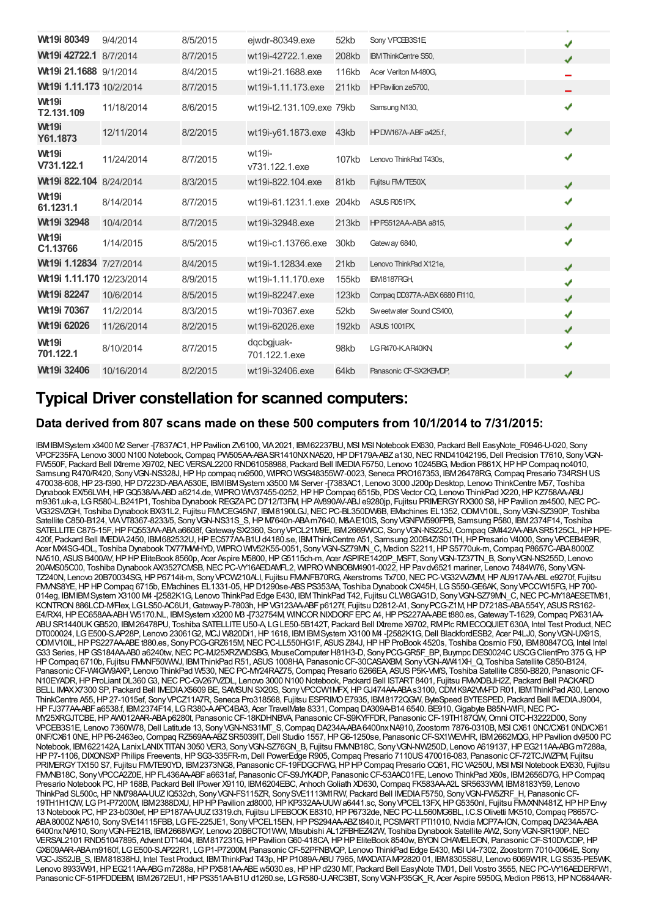| Wt19i 80349                | 9/4/2014   | 8/5/2015 | eiwdr-80349.exe             | 52kb         | Sony VPCEB3S1E                | ✔ |
|----------------------------|------------|----------|-----------------------------|--------------|-------------------------------|---|
| Wt19i 42722.1 8/7/2014     |            | 8/7/2015 | wt19i-42722.1.exe           | 208kb        | <b>IBM ThinkCentre S50,</b>   | J |
| Wt19i 21.1688 9/1/2014     |            | 8/4/2015 | wt19i-21.1688.exe           | <b>116kb</b> | Acer Veriton M-480G,          |   |
| Wt19i 1.11.173 10/2/2014   |            | 8/7/2015 | wt19i-1.11.173.exe          | 211kb        | HP Pavilion ze5700,           |   |
| <b>Wt19i</b><br>T2.131.109 | 11/18/2014 | 8/6/2015 | wt19i-t2.131.109.exe 79kb   |              | Samsung N130,                 | ✔ |
| <b>Wt19i</b><br>Y61.1873   | 12/11/2014 | 8/2/2015 | wt19i-y61.1873.exe          | 43kb         | HPDW167A-ABF a425.f,          | ✔ |
| <b>Wt19i</b><br>V731.122.1 | 11/24/2014 | 8/7/2015 | wt19i-<br>v731.122.1.exe    | 107kb        | Lenovo ThinkPad T430s,        | ✔ |
| Wt19i 822.104 8/24/2014    |            | 8/3/2015 | wt19i-822.104.exe           | 81kb         | Fujitsu FMVTE50X              | J |
| <b>Wt19i</b><br>61.1231.1  | 8/14/2014  | 8/7/2015 | wt19i-61.1231.1.exe 204kb   |              | ASUS R051PX,                  | ✔ |
| Wt19i 32948                | 10/4/2014  | 8/7/2015 | wt19i-32948.exe             | 213kb        | <b>HPPS512AA-ABA a815,</b>    | J |
| <b>Wt19i</b><br>C1.13766   | 1/14/2015  | 8/5/2015 | wt19i-c1.13766.exe          | 30kb         | Gateway 6840,                 | ✔ |
| Wt19i 1.12834 7/27/2014    |            | 8/4/2015 | wt19i-1.12834.exe           | 21kb         | Lenovo ThinkPad X121e,        | ✔ |
| Wt19i 1.11.170 12/23/2014  |            | 8/9/2015 | wt19i-1.11.170.exe          | 155kb        | IBM8187RGH                    | J |
| Wt19i 82247                | 10/6/2014  | 8/5/2015 | wt19i-82247.exe             | <b>123kb</b> | Compag DD377A-ABX 6680 F1110, | J |
| Wt19i 70367                | 11/2/2014  | 8/3/2015 | wt19i-70367.exe             | 52kb         | Sweetwater Sound CS400.       | ✔ |
| Wt19i 62026                | 11/26/2014 | 8/2/2015 | wt19i-62026.exe             | 192kb        | ASUS 1001PX,                  | J |
| <b>Wt19i</b><br>701.122.1  | 8/10/2014  | 8/7/2015 | dqcbgjuak-<br>701.122.1.exe | 98kb         | LG R470-KAR40KN               | ✔ |
| Wt19i 32406                | 10/16/2014 | 8/2/2015 | wt19i-32406.exe             | 64kb         | Panasonic CF-SX2KEMDP,        | ✔ |
|                            |            |          |                             |              |                               |   |

## **Typical Driver constellation for scanned computers:**

#### **Data derived from 807 scans made on these 500 computers from 10/1/2014 to 7/31/2015:**

IBMIBMSystem x3400 M2 Server -[7837AC1,HPPavilion ZV6100, VIA2021, IBM62237BU, MSI MSINotebook EX630, Packard Bell EasyNote\_F0946-U-020, Sony VPCF235FA, Lenovo 3000 N100 Notebook,Compaq PW505AA-ABASR1410NXNA520,HPDF179A-ABZa130,NECRND41042195,Dell Precision T7610, SonyVGN-FW550F, Packard Bell IXtreme X9702,NECVERSAL2200 RND61058988, Packard Bell IMEDIAF5750, Lenovo 10245BG, Medion P861X,HPHPCompaq nc4010, Samsung R470/R420, Sony VGN-NS328J, HP Hp compag nx9500, WIPRO WSG48355W7-0023, Seneca PRO167353, IBM26478RG, Compag Presario 734RSH US 470038-608,HP23-f390,HPD7223D-ABAA530E, IBMIBMSystem x3500 M4 Server -[7383AC1, Lenovo 3000 J200p Desktop, Lenovo ThinkCentre M57, Toshiba Dynabook EX/56LWH, HP GQ538AA-ABD a6214.de, WIPROWIV37455-0252, HP HP Compaq 6515b, PDS Vector CQ, Lenovo ThinkPad X220, HP KZ758AA-ABU m9361.uk-a, LGR580-L.B241P1, Toshiba Dynabook REGZAPC D712/T3FM, HP AV890AV-ABJ e9280ip, Fujitsu PRIMERGYRX300 S8, HP Pavilion ze4500, NEC PC-VG32SVZGH, Toshiba Dynabook BX/31L2, Fujitsu FMVCEG45N7, IBM8190LGJ,NECPC-BL350DW6B, EMachines EL1352,ODMV10IL, SonyVGN-SZ390P, Toshiba Satellite C850-B124, VIAVT8367-8233/5, Sony VGN-NS31S\_S, HP M7640n-ABAm7640, M&AE10IS, Sony VGNFW590FPB, Samsung P580, IBM2374F14, Toshiba SATELLITEC875-15F,HPFQ553AA-ABAa6608f,GatewaySX2360, SonyVPCL21M9E, IBM2669WCC, SonyVGN-NS225J,CompaqGM442AA-ABASR5125CL,HPHPE-420f, Packard Bell IMEDIA2450, IBM682532U,HPEC577AA-B1Ud4180.se, IBMThinkCentre A51, Samsung 200B4Z/S01TH,HPPresario V4000, SonyVPCEB4E9R, Acer MX4SG-4DL, Toshiba Dynabook TX/77MMHYD, WIPRO WIV52K55-0051, Sony VGN-SZ79MN\_C, Medion S2211, HP S5770uk-m, Compaq P8657C-ABA8000Z NA510, ASUSB400AV,HPHPEliteBook 8560p, Acer Aspire M5800,HPG5115ch-m, Acer ASPIRE1420P\_MSFT, SonyVGN-TZ37TN\_B, SonyVGN-NS255D, Lenovo 20AMS05C00, Toshiba Dynabook AX/3527CMSB, NEC PC-VY16AEDAMFL2, WIPRO WNBOBM4901-0022, HP Pav dv6521 mariner, Lenovo 7484W76, Sony VGN-TZ240N, Lenovo 20B70034SG, HP P6714it-m, Sony VPCW210ALI, Fujitsu FM/NFB70RG, Akerstroms Tx700, NEC PC-VG32VVZMM, HP AU917AA-ABL e9270f, Fujitsu FMMS8YE, HP HP Compaq 6715b, EMachines EL1331-05, HP D1290se-ABS PS353AA, Toshiba Dynabook CX45H, LG S550-GE6AK, Sony VPCCW15FG, HP 700-014eg, IBMIBMSystem X3100 M4 -[2582K1G, Lenovo ThinkPad Edge E430, IBMThinkPad T42, Fujitsu CLW8GAG1D, SonyVGN-SZ79MN\_C,NECPC-MY18AESETM81, KONTRON 886LCD-M/Flex, LGLS50-AC6U1, Gateway P-7803h, HP VG123AA-ABF p6127f, Fujitsu D2812-A1, Sony PCG-Z1M, HP D7218S-ABA 554Y, ASUS RS162-E4/RX4, HP EC658AA-ABH W5170.NL, IBMSystem x3200 M3 -[732754M, WINCOR NIXDORF EPC A4, HP PS227AA-ABE t880.es, Gateway T-1629, Compaq PX631AA ABU SR1440UK GB520, IBM 26478PU, Toshiba SATELLITE U50-A LG LE50-5B142T, Packard Bell IXtreme X9702, RMPlc RMECOQUIET 630A, Intel Test Product, NEC DT000024, LGE500-S.AP28P, Lenovo 23061G2, MCJ W820Di1,HP1618, IBMIBMSystem X3100 M4 -[2582K1G,Dell BlackfordESB2, Acer P4LJ0, SonyVGN-UX91S, ODMV10IL, HP PS227AA-ABE t880.es, Sony PCG-GRZ615M, NEC PC-LL550HG1F, ASUS Z84J, HP HP ProBook 4520s, Toshiba Qosmio F50, IBM80847CG, Intel Intel GBM VIDE, HILL COLLIN VIDE COOLS, CO., I. S. C. C. C. C., NEC. C. DESCOMPUter H81H3-D, Sony PCG-GR5F\_BP, Buympc DES0024C USCG ClientPro 375 G, HP HPCompaq 6710b, Fujitsu FMVNF50WWJ, IBMThinkPad R51, ASUS1008HA, PanasonicCF-30CASAXBM, SonyVGN-AW41XH\_Q, Toshiba Satellite C850-B124, Panasonic CF-W4GW9AXP, Lenovo ThinkPad W530, NEC PC-MY24RAZ75, Compaq Presario 6266EA, ASUS P5K-VM/S, Toshiba Satellite C850-B820, Panasonic CF-N10EYADR,HPProLiantDL360G3,NECPC-GV267VZDL, Lenovo 3000 N100 Notebook, Packard Bell ISTART8401, Fujitsu FMVXDBJH2Z, Packard Bell PACKARD BELL IMAXX7300 SP, Packard Bell IMEDIAX5609 BE, SAMSUN SX20S, Sony VPCCW1MFX, HPGJ474AA-ABAs3100, CDMK9A2VM-FDR01, IBM ThinkPad A30, Lenovo ThinkCentre A55,HP27-1015ef, SonyVPCZ11A7R, Seneca Pro318568, Fujitsu ESPRIMOE7935, IBM8172QGW, ByteSpeed BYTESPED, Packard Bell IMEDIAJ9004, HPFJ377AA-ABFa6538.f, IBM2374F14, LGR380-A.APC4BA3, Acer TravelMate 8331,Compaq DA309A-B14 6540. BE910,Gigabyte B85N-WIFI,NECPC-MY25XRGJTCBE,HPAW012AAR-ABAp6280t, PanasonicCF-18KDHNBVA, PanasonicCF-S9KYFFDR, PanasonicCF-19TH187QW,Omni OTC-H3222D00, Sony VPCEB3S1E, Lenovo 7360W78, Dell Latitude 13, Sony VGN-NS31MT\_S, Compaq DA234A-ABA6400nxNA910, Zoostorm 7876-0310B, MSICX61 0NC/CX61 0ND/CX61 0NF/CX61 0NE,HPP6-2463eo,Compaq RZ569AA-ABZSR5039IT,Dell Studio 1557,HPG6-1250se, PanasonicCF-SX1WEVHR, IBM2662MQG,HPPavilion dv9500 PC Notebook, IBM622142A, LanixLANIXTITAN 3050 VER3, Sony VGN-SZ76GN\_B, Fujitsu FMMB18C, Sony VGN-NW250D, Lenovo A619137, HP EG211AA-ABG m7288a, HPP7-1106,DIXONSXPPhilips Freevents,HPSG3-335FR-m,Dell PowerEdge R905,Compaq Presario 7110US470016-083, PanasonicCF-72TCJWZPM, Fujitsu PRIMERGYTX150 S7, Fujitsu FMVTE90YD, IBM2373NG8, PanasonicCF-19FDGCFWG,HPHPCompaq Presario CQ61, FICVA250U, MSI MSINotebook EX630, Fujitsu FMVNB18C, SonyVPCCA2Z0E,HPFL436AA-ABFa6631af, PanasonicCF-S9JYKADP, PanasonicCF-53AAC01FE, Lenovo ThinkPad X60s, IBM2656D7G,HPCompaq Presario Notebook PC, HP 168B, Packard Bell IPower X9110, IBM6204EBC, Anhoch Goliath XD630, Compaq FK583AA-A2L SR5633WM, IBM8183Y59, Lenovo ThinkPad SL500c, HP NM798AA-UUZIQ532ch, Sony VGN-FS115ZR, Sony SVE1113M1RW, Packard Bell IMEDIAF5750, Sony VGN-FW5ZRF\_H, Panasonic CF-19TH1H1QW, LGP1-P7200M, IBM2388DXU,HPHPPavilion zd8000,HPKP332AA-UUWa6441.sc, SonyVPCEL13FX,HPG5350nl, Fujitsu FMVXNN481Z,HPHPEnvy 13 Notebook PC, HP 23-b030ef, HP EP187AA-UUZt3319.ch, Fujitsu LIFEBOOK E8310, HP P6732de, NEC PC-LL560MG6BL, I.C.S Olivetti MK510, Compaq P8657C-ABA8000ZNA510, SonySVE14115FBB, LGFE-225JE1, SonyVPCEL15EN, HPPS294AA-ABZt840.it, PCSMARTPTI1010, Nvidia MCP7A-ION, Compaq DA234A-ABA 6400nxNA910, SonyVGN-FE21B, IBM2668WGY, Lenovo 20B6CTO1WW, Mitsubishi AL12FBHEZ42W, Toshiba Dynabook Satellite AW2, SonyVGN-SR190P,NEC VERSAL2101 RND51047895, AdventDT1404, IBM817231G,HPPavilionG60-418CA,HPHPEliteBook 8540w, BYONCHAMELEON, PanasonicCF-S10DVCDP,HP GX609AAR-ABAm9160f, LGE500-S.AP22R1, LGP1-P7200M, PanasonicCF-52PFNBVQP, Lenovo ThinkPad Edge E430, MSIU4-7302, Zoostorm 7010-0064E, Sony VGC-JS52JB\_S, IBM81838HJ, Intel Test Product, IBMThinkPad T43p,HPP1089A-ABU7965, MAXDATAMP2820 01, IBM8305S8U, Lenovo 6069W1R, LGS535-PE5WK, Lenovo 8933W91, HP EG211AA-ABG m7288a, HP PX581AA-ABE w5030.es, HP HP d230 MT, Packard Bell EasyNote TM01, Dell Vostro 3555, NEC PC-VY16AEDERFW1, Panasonic CF-51PFDDEBM, IBM2672EU1, HP PS351AA-B1U d1260.se, LG R580-U.ARC3BT, Sony VGN-P35GK R, Acer Aspire 5950G, Medion P8613, HP NC684AAR-